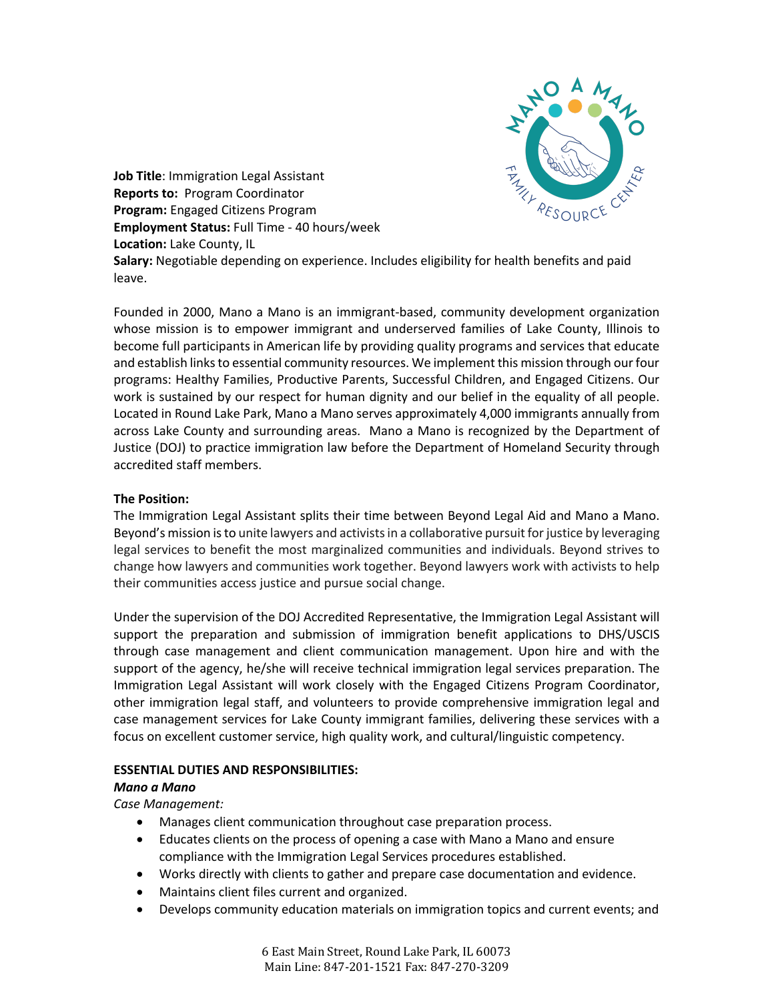

**Job Title**: Immigration Legal Assistant **Reports to:** Program Coordinator **Program:** Engaged Citizens Program **Employment Status:** Full Time - 40 hours/week **Location:** Lake County, IL

**Salary:** Negotiable depending on experience. Includes eligibility for health benefits and paid leave.

Founded in 2000, Mano a Mano is an immigrant-based, community development organization whose mission is to empower immigrant and underserved families of Lake County, Illinois to become full participants in American life by providing quality programs and services that educate and establish links to essential community resources. We implement this mission through our four programs: Healthy Families, Productive Parents, Successful Children, and Engaged Citizens. Our work is sustained by our respect for human dignity and our belief in the equality of all people. Located in Round Lake Park, Mano a Mano serves approximately 4,000 immigrants annually from across Lake County and surrounding areas. Mano a Mano is recognized by the Department of Justice (DOJ) to practice immigration law before the Department of Homeland Security through accredited staff members.

## **The Position:**

The Immigration Legal Assistant splits their time between Beyond Legal Aid and Mano a Mano. Beyond's mission is to unite lawyers and activists in a collaborative pursuit for justice by leveraging legal services to benefit the most marginalized communities and individuals. Beyond strives to change how lawyers and communities work together. Beyond lawyers work with activists to help their communities access justice and pursue social change.

Under the supervision of the DOJ Accredited Representative, the Immigration Legal Assistant will support the preparation and submission of immigration benefit applications to DHS/USCIS through case management and client communication management. Upon hire and with the support of the agency, he/she will receive technical immigration legal services preparation. The Immigration Legal Assistant will work closely with the Engaged Citizens Program Coordinator, other immigration legal staff, and volunteers to provide comprehensive immigration legal and case management services for Lake County immigrant families, delivering these services with a focus on excellent customer service, high quality work, and cultural/linguistic competency.

## **ESSENTIAL DUTIES AND RESPONSIBILITIES:**

## *Mano a Mano*

*Case Management:*

- Manages client communication throughout case preparation process.
- Educates clients on the process of opening a case with Mano a Mano and ensure compliance with the Immigration Legal Services procedures established.
- Works directly with clients to gather and prepare case documentation and evidence.
- Maintains client files current and organized.
- Develops community education materials on immigration topics and current events; and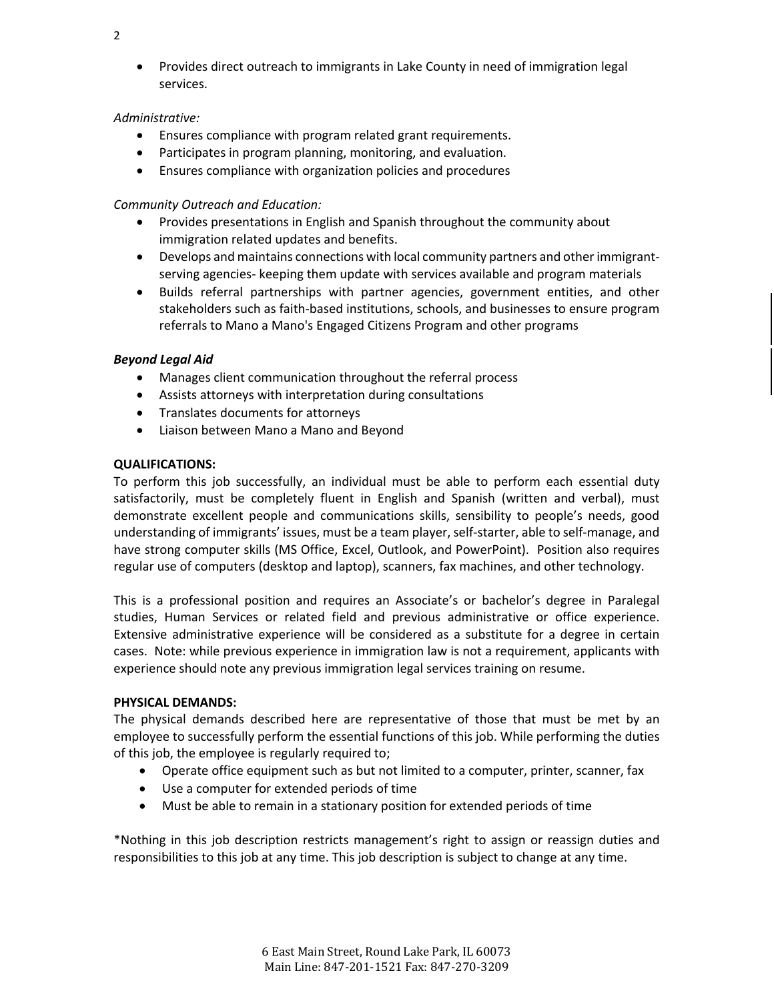- 2
- Provides direct outreach to immigrants in Lake County in need of immigration legal services.

## *Administrative:*

- Ensures compliance with program related grant requirements.
- Participates in program planning, monitoring, and evaluation.
- Ensures compliance with organization policies and procedures

# *Community Outreach and Education:*

- Provides presentations in English and Spanish throughout the community about immigration related updates and benefits.
- Develops and maintains connections with local community partners and other immigrantserving agencies- keeping them update with services available and program materials
- Builds referral partnerships with partner agencies, government entities, and other stakeholders such as faith-based institutions, schools, and businesses to ensure program referrals to Mano a Mano's Engaged Citizens Program and other programs

## *Beyond Legal Aid*

- Manages client communication throughout the referral process
- Assists attorneys with interpretation during consultations
- Translates documents for attorneys
- Liaison between Mano a Mano and Beyond

# **QUALIFICATIONS:**

To perform this job successfully, an individual must be able to perform each essential duty satisfactorily, must be completely fluent in English and Spanish (written and verbal), must demonstrate excellent people and communications skills, sensibility to people's needs, good understanding of immigrants' issues, must be a team player, self-starter, able to self-manage, and have strong computer skills (MS Office, Excel, Outlook, and PowerPoint). Position also requires regular use of computers (desktop and laptop), scanners, fax machines, and other technology.

This is a professional position and requires an Associate's or bachelor's degree in Paralegal studies, Human Services or related field and previous administrative or office experience. Extensive administrative experience will be considered as a substitute for a degree in certain cases. Note: while previous experience in immigration law is not a requirement, applicants with experience should note any previous immigration legal services training on resume.

## **PHYSICAL DEMANDS:**

The physical demands described here are representative of those that must be met by an employee to successfully perform the essential functions of this job. While performing the duties of this job, the employee is regularly required to;

- Operate office equipment such as but not limited to a computer, printer, scanner, fax
- Use a computer for extended periods of time
- Must be able to remain in a stationary position for extended periods of time

\*Nothing in this job description restricts management's right to assign or reassign duties and responsibilities to this job at any time. This job description is subject to change at any time.